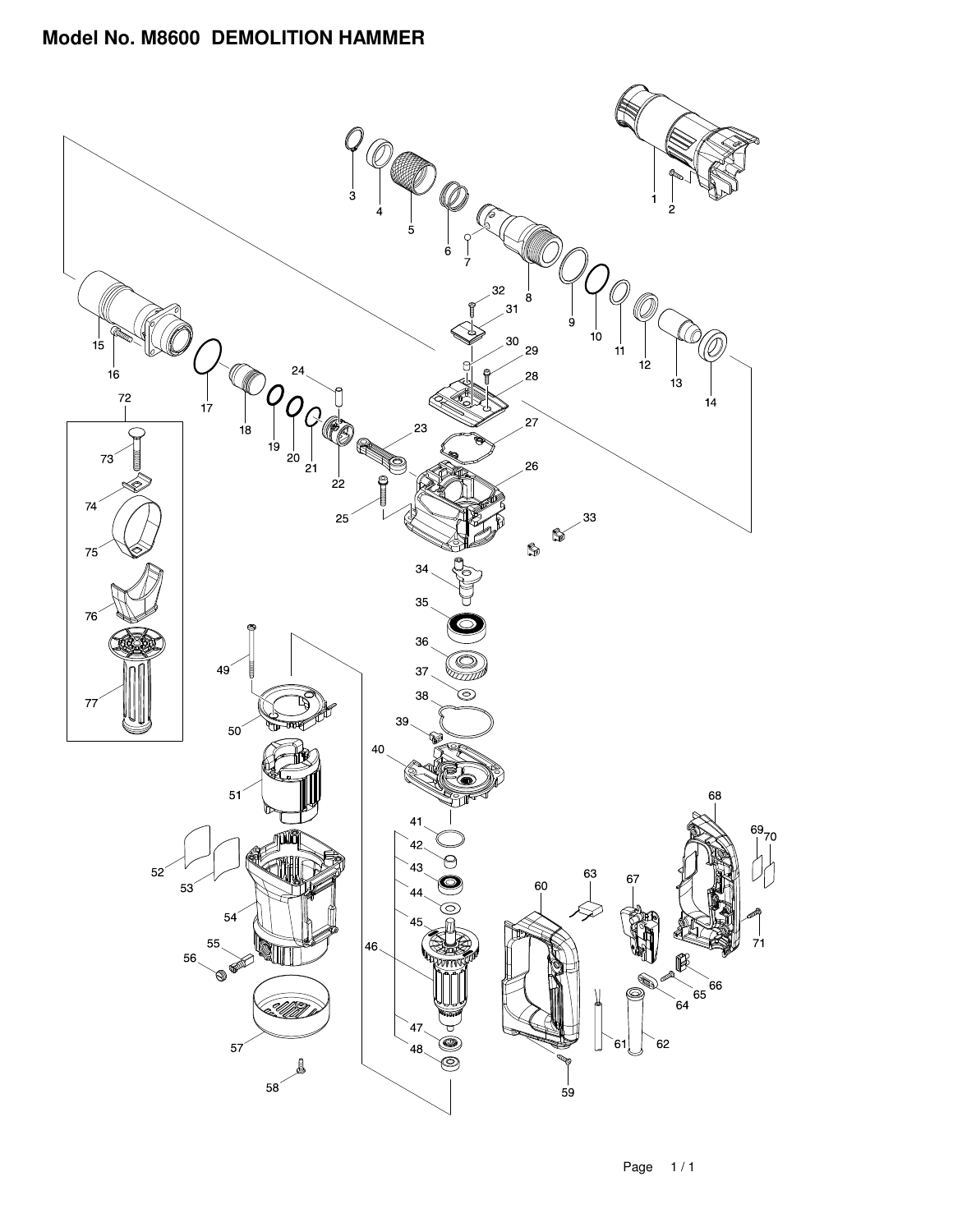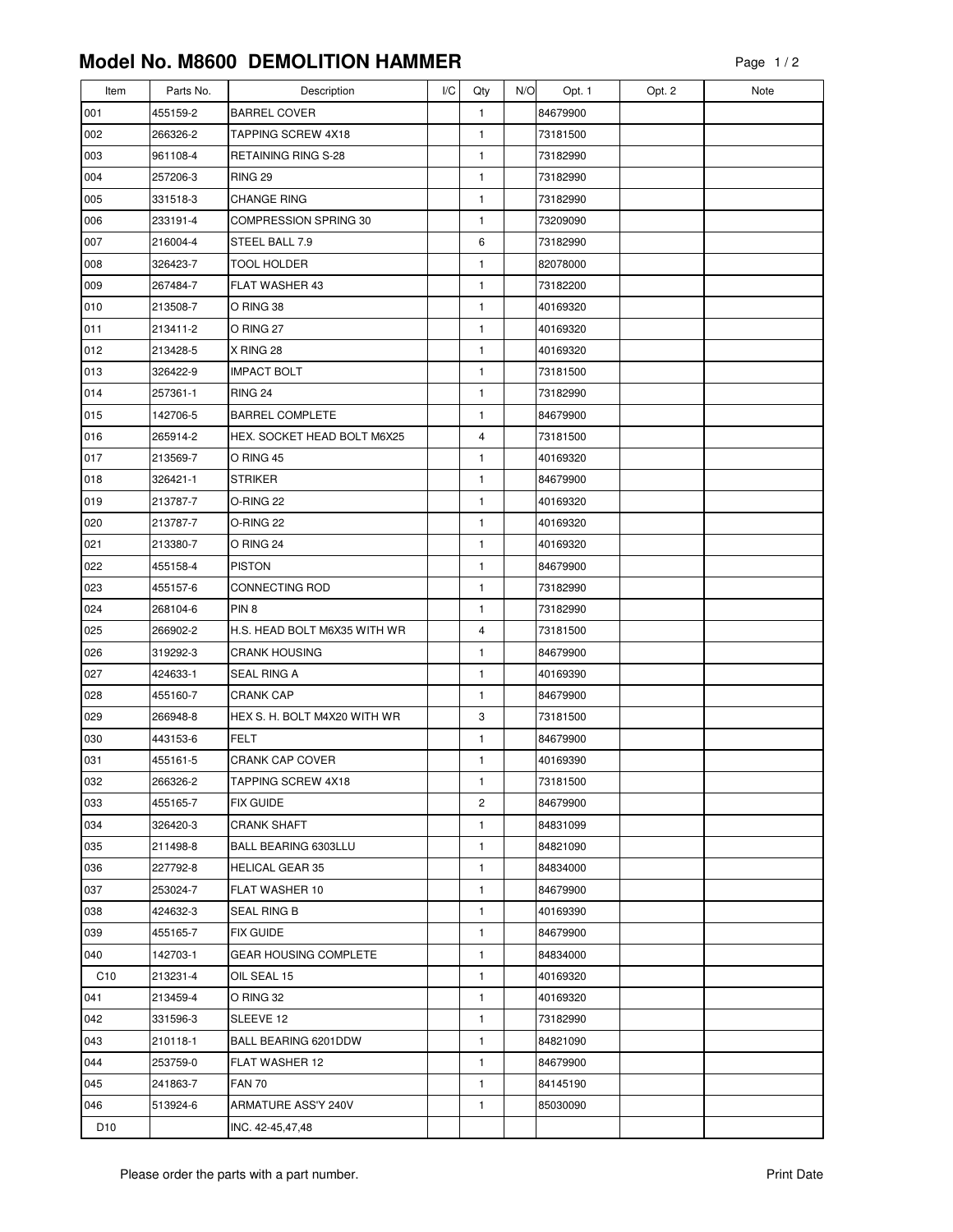## **Model No. M8600 DEMOLITION HAMMER**

| Item            | Parts No. | Description                  | I/C | Qty | N/O | Opt. 1   | Opt. 2 | Note |
|-----------------|-----------|------------------------------|-----|-----|-----|----------|--------|------|
| 001             | 455159-2  | <b>BARREL COVER</b>          |     | 1   |     | 84679900 |        |      |
| 002             | 266326-2  | TAPPING SCREW 4X18           |     | 1   |     | 73181500 |        |      |
| 003             | 961108-4  | RETAINING RING S-28          |     | 1   |     | 73182990 |        |      |
| 004             | 257206-3  | <b>RING 29</b>               |     | 1   |     | 73182990 |        |      |
| 005             | 331518-3  | <b>CHANGE RING</b>           |     | 1   |     | 73182990 |        |      |
| 006             | 233191-4  | COMPRESSION SPRING 30        |     | 1   |     | 73209090 |        |      |
| 007             | 216004-4  | STEEL BALL 7.9               |     | 6   |     | 73182990 |        |      |
| 008             | 326423-7  | TOOL HOLDER                  |     | 1   |     | 82078000 |        |      |
| 009             | 267484-7  | <b>FLAT WASHER 43</b>        |     | 1   |     | 73182200 |        |      |
| 010             | 213508-7  | O RING 38                    |     | 1   |     | 40169320 |        |      |
| 011             | 213411-2  | O RING 27                    |     | 1   |     | 40169320 |        |      |
| 012             | 213428-5  | X RING 28                    |     | 1   |     | 40169320 |        |      |
| 013             | 326422-9  | <b>IMPACT BOLT</b>           |     | 1   |     | 73181500 |        |      |
| 014             | 257361-1  | <b>RING 24</b>               |     | 1   |     | 73182990 |        |      |
| 015             | 142706-5  | <b>BARREL COMPLETE</b>       |     | 1   |     | 84679900 |        |      |
| 016             | 265914-2  | HEX. SOCKET HEAD BOLT M6X25  |     | 4   |     | 73181500 |        |      |
| 017             | 213569-7  | O RING 45                    |     | 1   |     | 40169320 |        |      |
| 018             | 326421-1  | <b>STRIKER</b>               |     | 1   |     | 84679900 |        |      |
| 019             | 213787-7  | O-RING 22                    |     | 1   |     | 40169320 |        |      |
| 020             | 213787-7  | O-RING 22                    |     | 1   |     | 40169320 |        |      |
| 021             | 213380-7  | O RING 24                    |     | 1   |     | 40169320 |        |      |
| 022             | 455158-4  | <b>PISTON</b>                |     | 1   |     | 84679900 |        |      |
| 023             | 455157-6  | CONNECTING ROD               |     | 1   |     | 73182990 |        |      |
| 024             | 268104-6  | PIN <sub>8</sub>             |     | 1   |     | 73182990 |        |      |
| 025             | 266902-2  | H.S. HEAD BOLT M6X35 WITH WR |     | 4   |     | 73181500 |        |      |
| 026             | 319292-3  | <b>CRANK HOUSING</b>         |     | 1   |     | 84679900 |        |      |
| 027             | 424633-1  | SEAL RING A                  |     | 1   |     | 40169390 |        |      |
| 028             | 455160-7  | <b>CRANK CAP</b>             |     | 1   |     | 84679900 |        |      |
| 029             | 266948-8  | HEX S. H. BOLT M4X20 WITH WR |     | 3   |     | 73181500 |        |      |
| 030             | 443153-6  | <b>FELT</b>                  |     | 1   |     | 84679900 |        |      |
| 031             | 455161-5  | <b>CRANK CAP COVER</b>       |     | 1   |     | 40169390 |        |      |
| 032             | 266326-2  | TAPPING SCREW 4X18           |     | 1   |     | 73181500 |        |      |
| 033             | 455165-7  | FIX GUIDE                    |     | 2   |     | 84679900 |        |      |
| 034             | 326420-3  | <b>CRANK SHAFT</b>           |     | 1   |     | 84831099 |        |      |
| 035             | 211498-8  | BALL BEARING 6303LLU         |     | 1   |     | 84821090 |        |      |
| 036             | 227792-8  | <b>HELICAL GEAR 35</b>       |     | 1   |     | 84834000 |        |      |
| 037             | 253024-7  | FLAT WASHER 10               |     | 1   |     | 84679900 |        |      |
| 038             | 424632-3  | SEAL RING B                  |     | 1   |     | 40169390 |        |      |
| 039             | 455165-7  | FIX GUIDE                    |     | 1   |     | 84679900 |        |      |
| 040             | 142703-1  | GEAR HOUSING COMPLETE        |     | 1   |     | 84834000 |        |      |
| C <sub>10</sub> | 213231-4  | OIL SEAL 15                  |     | 1   |     | 40169320 |        |      |
| 041             | 213459-4  | O RING 32                    |     | 1   |     | 40169320 |        |      |
| 042             | 331596-3  | SLEEVE 12                    |     | 1   |     | 73182990 |        |      |
| 043             | 210118-1  | BALL BEARING 6201DDW         |     | 1   |     | 84821090 |        |      |
| 044             | 253759-0  | FLAT WASHER 12               |     | 1   |     | 84679900 |        |      |
| 045             | 241863-7  | <b>FAN 70</b>                |     | 1   |     | 84145190 |        |      |
| 046             | 513924-6  | ARMATURE ASS'Y 240V          |     | 1   |     | 85030090 |        |      |
| D <sub>10</sub> |           | INC. 42-45,47,48             |     |     |     |          |        |      |